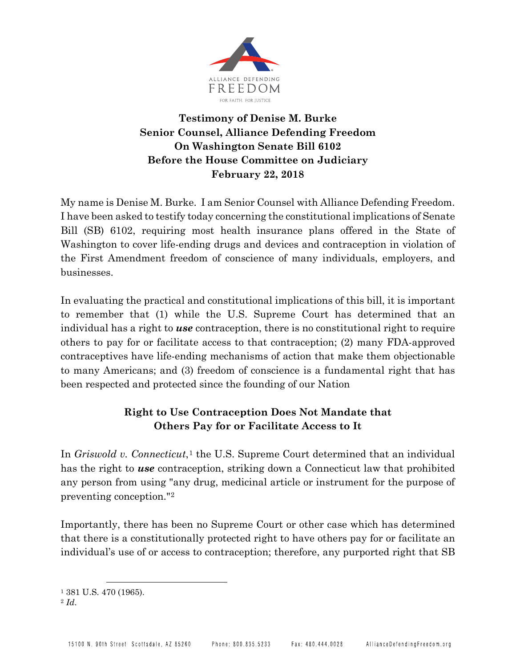

## **Testimony of Denise M. Burke Senior Counsel, Alliance Defending Freedom On Washington Senate Bill 6102 Before the House Committee on Judiciary February 22, 2018**

My name is Denise M. Burke. I am Senior Counsel with Alliance Defending Freedom. I have been asked to testify today concerning the constitutional implications of Senate Bill (SB) 6102, requiring most health insurance plans offered in the State of Washington to cover life-ending drugs and devices and contraception in violation of the First Amendment freedom of conscience of many individuals, employers, and businesses.

In evaluating the practical and constitutional implications of this bill, it is important to remember that (1) while the U.S. Supreme Court has determined that an individual has a right to *use* contraception, there is no constitutional right to require others to pay for or facilitate access to that contraception; (2) many FDA-approved contraceptives have life-ending mechanisms of action that make them objectionable to many Americans; and (3) freedom of conscience is a fundamental right that has been respected and protected since the founding of our Nation

# **Right to Use Contraception Does Not Mandate that Others Pay for or Facilitate Access to It**

In *Griswold v. Connecticut*,<sup>[1](#page-0-0)</sup> the U.S. Supreme Court determined that an individual has the right to *use* contraception, striking down a Connecticut law that prohibited any person from using "any drug, medicinal article or instrument for the purpose of preventing conception."[2](#page-0-1)

Importantly, there has been no Supreme Court or other case which has determined that there is a constitutionally protected right to have others pay for or facilitate an individual's use of or access to contraception; therefore, any purported right that SB

<span id="page-0-0"></span><sup>1</sup> 381 U.S. 470 (1965).

<span id="page-0-1"></span><sup>2</sup> *Id*.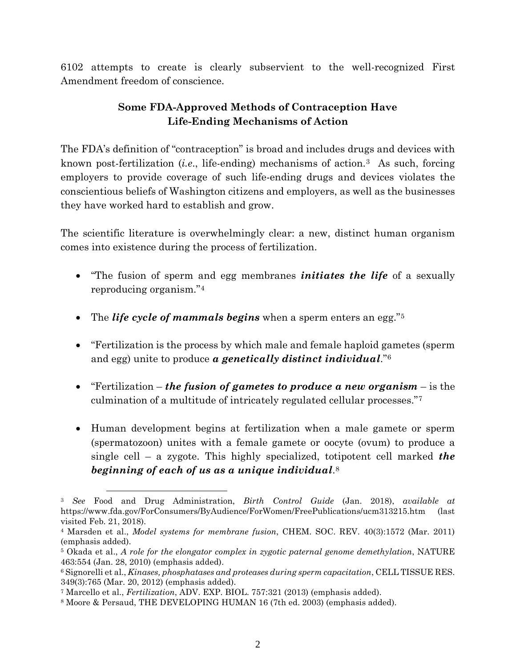6102 attempts to create is clearly subservient to the well-recognized First Amendment freedom of conscience.

## **Some FDA-Approved Methods of Contraception Have Life-Ending Mechanisms of Action**

The FDA's definition of "contraception" is broad and includes drugs and devices with known post-fertilization (*i.e*., life-ending) mechanisms of action.[3](#page-1-0) As such, forcing employers to provide coverage of such life-ending drugs and devices violates the conscientious beliefs of Washington citizens and employers, as well as the businesses they have worked hard to establish and grow.

The scientific literature is overwhelmingly clear: a new, distinct human organism comes into existence during the process of fertilization.

- "The fusion of sperm and egg membranes *initiates the life* of a sexually reproducing organism."[4](#page-1-1)
- The *life cycle of mammals begins* when a sperm enters an egg."[5](#page-1-2)
- "Fertilization is the process by which male and female haploid gametes (sperm and egg) unite to produce *a genetically distinct individual*."[6](#page-1-3)
- "Fertilization *the fusion of gametes to produce a new organism*  is the culmination of a multitude of intricately regulated cellular processes."[7](#page-1-4)
- Human development begins at fertilization when a male gamete or sperm (spermatozoon) unites with a female gamete or oocyte (ovum) to produce a single cell – a zygote. This highly specialized, totipotent cell marked *the beginning of each of us as a unique individual*.[8](#page-1-5)

<span id="page-1-0"></span><sup>3</sup> *See* Food and Drug Administration, *Birth Control Guide* (Jan. 2018), *available at* https://www.fda.gov/ForConsumers/ByAudience/ForWomen/FreePublications/ucm313215.htm (last visited Feb. 21, 2018).

<span id="page-1-1"></span><sup>4</sup> Marsden et al., *Model systems for membrane fusion*, CHEM. SOC. REV. 40(3):1572 (Mar. 2011) (emphasis added).

<span id="page-1-2"></span><sup>5</sup> Okada et al., *A role for the elongator complex in zygotic paternal genome demethylation*, NATURE 463:554 (Jan. 28, 2010) (emphasis added).

<span id="page-1-3"></span><sup>6</sup> Signorelli et al., *Kinases, phosphatases and proteases during sperm capacitation*, CELL TISSUE RES. 349(3):765 (Mar. 20, 2012) (emphasis added).

<span id="page-1-4"></span><sup>7</sup> Marcello et al., *Fertilization*, ADV. EXP. BIOL. 757:321 (2013) (emphasis added).

<span id="page-1-5"></span><sup>8</sup> Moore & Persaud, THE DEVELOPING HUMAN 16 (7th ed. 2003) (emphasis added).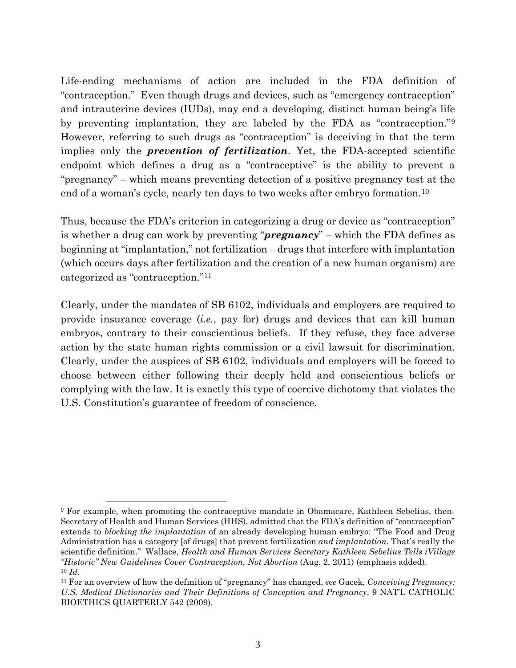Life-ending mechanisms of action are included in the FDA definition of "contraception." Even though drugs and devices, such as "emergency contraception" and intrauterine devices (IUDs), may end a developing, distinct human being's life by preventing implantation, they are labeled by the FDA as "contraception."[9](#page-2-0) However, referring to such drugs as "contraception" is deceiving in that the term implies only the *prevention of fertilization*. Yet, the FDA-accepted scientific endpoint which defines a drug as a "contraceptive" is the ability to prevent a "pregnancy" – which means preventing detection of a positive pregnancy test at the end of a woman's cycle, nearly ten days to two weeks after embryo formation.[10](#page-2-1)

Thus, because the FDA's criterion in categorizing a drug or device as "contraception" is whether a drug can work by preventing "*pregnancy*" – which the FDA defines as beginning at "implantation," not fertilization – drugs that interfere with implantation (which occurs days after fertilization and the creation of a new human organism) are categorized as "contraception."[11](#page-2-2)

Clearly, under the mandates of SB 6102, individuals and employers are required to provide insurance coverage (*i.e.*, pay for) drugs and devices that can kill human embryos, contrary to their conscientious beliefs. If they refuse, they face adverse action by the state human rights commission or a civil lawsuit for discrimination. Clearly, under the auspices of SB 6102, individuals and employers will be forced to choose between either following their deeply held and conscientious beliefs or complying with the law. It is exactly this type of coercive dichotomy that violates the U.S. Constitution's guarantee of freedom of conscience.

<span id="page-2-0"></span><sup>9</sup> For example, when promoting the contraceptive mandate in Obamacare, Kathleen Sebelius, then-Secretary of Health and Human Services (HHS), admitted that the FDA's definition of "contraception" extends to *blocking the implantation* of an already developing human embryo: "The Food and Drug Administration has a category [of drugs] that prevent fertilization *and implantation*. That's really the scientific definition." Wallace, *Health and Human Services Secretary Kathleen Sebelius Tells iVillage "Historic" New Guidelines Cover Contraception, Not Abortion* (Aug. 2, 2011) (emphasis added). <sup>10</sup> *Id*.

<span id="page-2-2"></span><span id="page-2-1"></span><sup>11</sup> For an overview of how the definition of "pregnancy" has changed, *see* Gacek, *Conceiving Pregnancy: U.S. Medical Dictionaries and Their Definitions of Conception and Pregnancy*, 9 NAT'L CATHOLIC BIOETHICS QUARTERLY 542 (2009).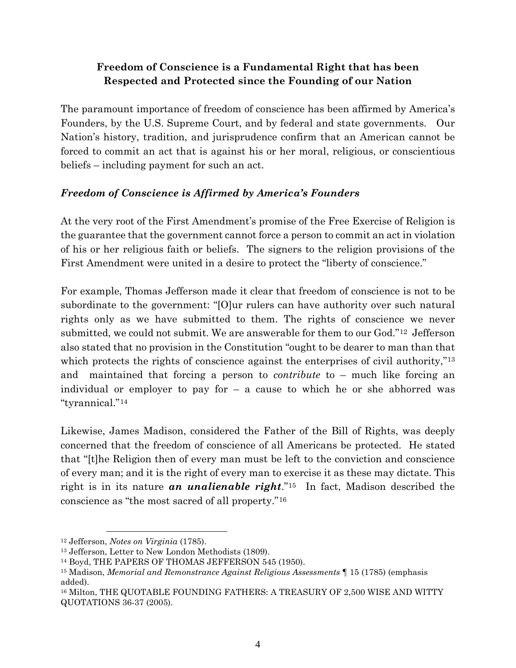## **Freedom of Conscience is a Fundamental Right that has been Respected and Protected since the Founding of our Nation**

The paramount importance of freedom of conscience has been affirmed by America's Founders, by the U.S. Supreme Court, and by federal and state governments. Our Nation's history, tradition, and jurisprudence confirm that an American cannot be forced to commit an act that is against his or her moral, religious, or conscientious beliefs – including payment for such an act.

### *Freedom of Conscience is Affirmed by America's Founders*

At the very root of the First Amendment's promise of the Free Exercise of Religion is the guarantee that the government cannot force a person to commit an act in violation of his or her religious faith or beliefs. The signers to the religion provisions of the First Amendment were united in a desire to protect the "liberty of conscience."

For example, Thomas Jefferson made it clear that freedom of conscience is not to be subordinate to the government: "[O]ur rulers can have authority over such natural rights only as we have submitted to them. The rights of conscience we never submitted, we could not submit. We are answerable for them to our God."[12](#page-3-0) Jefferson also stated that no provision in the Constitution "ought to be dearer to man than that which protects the rights of conscience against the enterprises of civil authority,"<sup>[13](#page-3-1)</sup> and maintained that forcing a person to *contribute* to – much like forcing an individual or employer to pay for  $-$  a cause to which he or she abhorred was "tyrannical."[14](#page-3-2)

Likewise, James Madison, considered the Father of the Bill of Rights, was deeply concerned that the freedom of conscience of all Americans be protected. He stated that "[t]he Religion then of every man must be left to the conviction and conscience of every man; and it is the right of every man to exercise it as these may dictate. This right is in its nature *an unalienable right*."[15](#page-3-3) In fact, Madison described the conscience as "the most sacred of all property."[16](#page-3-4)

<span id="page-3-0"></span><sup>12</sup> Jefferson, *Notes on Virginia* (1785).

<span id="page-3-1"></span><sup>13</sup> Jefferson, Letter to New London Methodists (1809).

<span id="page-3-2"></span><sup>14</sup> Boyd, THE PAPERS OF THOMAS JEFFERSON 545 (1950).

<span id="page-3-3"></span><sup>15</sup> Madison, *Memorial and Remonstrance Against Religious Assessments* ¶ 15 (1785) (emphasis added).

<span id="page-3-4"></span><sup>16</sup> Milton, THE QUOTABLE FOUNDING FATHERS: A TREASURY OF 2,500 WISE AND WITTY QUOTATIONS 36-37 (2005).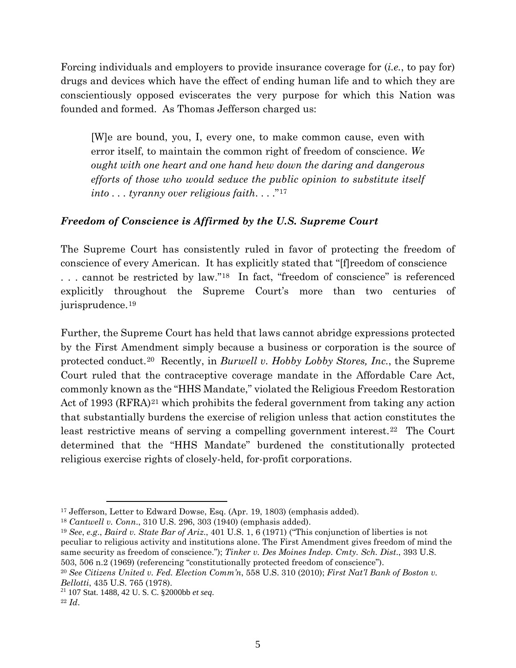Forcing individuals and employers to provide insurance coverage for (*i.e.*, to pay for) drugs and devices which have the effect of ending human life and to which they are conscientiously opposed eviscerates the very purpose for which this Nation was founded and formed. As Thomas Jefferson charged us:

[W]e are bound, you, I, every one, to make common cause, even with error itself, to maintain the common right of freedom of conscience. *We ought with one heart and one hand hew down the daring and dangerous efforts of those who would seduce the public opinion to substitute itself into . . . tyranny over religious faith*. . . ."[17](#page-4-0)

### *Freedom of Conscience is Affirmed by the U.S. Supreme Court*

The Supreme Court has consistently ruled in favor of protecting the freedom of conscience of every American. It has explicitly stated that "[f]reedom of conscience . . . cannot be restricted by law.["18](#page-4-1) In fact, "freedom of conscience" is referenced explicitly throughout the Supreme Court's more than two centuries of jurisprudence.[19](#page-4-2)

Further, the Supreme Court has held that laws cannot abridge expressions protected by the First Amendment simply because a business or corporation is the source of protected conduct.[20](#page-4-3) Recently, in *Burwell v. Hobby Lobby Stores, Inc.*, the Supreme Court ruled that the contraceptive coverage mandate in the Affordable Care Act, commonly known as the "HHS Mandate," violated the Religious Freedom Restoration Act of 1993 (RFRA)<sup>[21](#page-4-4)</sup> which prohibits the federal government from taking any action that substantially burdens the exercise of religion unless that action constitutes the least restrictive means of serving a compelling government interest.<sup>22</sup> The Court determined that the "HHS Mandate" burdened the constitutionally protected religious exercise rights of closely-held, for-profit corporations.

<span id="page-4-0"></span><sup>17</sup> Jefferson, Letter to Edward Dowse, Esq. (Apr. 19, 1803) (emphasis added).

<span id="page-4-1"></span><sup>18</sup> *Cantwell v. Conn*., 310 U.S. 296, 303 (1940) (emphasis added).

<span id="page-4-2"></span><sup>19</sup> *See*, *e.g*., *Baird v. State Bar of Ariz*., 401 U.S. 1, 6 (1971) ("This conjunction of liberties is not peculiar to religious activity and institutions alone. The First Amendment gives freedom of mind the same security as freedom of conscience."); *Tinker v. Des Moines Indep. Cmty. Sch. Dist*., 393 U.S. 503, 506 n.2 (1969) (referencing "constitutionally protected freedom of conscience").

<span id="page-4-3"></span><sup>20</sup> *See Citizens United v. Fed. Election Comm'n*, 558 U.S. 310 (2010); *First Nat'l Bank of Boston v. Bellotti*, 435 U.S. 765 (1978).

<span id="page-4-4"></span><sup>21</sup> 107 Stat. 1488, 42 U. S. [C. §2000bb](http://www.law.cornell.edu/uscode/42/2000bb.html) *et seq*.

<span id="page-4-5"></span><sup>22</sup> *Id*.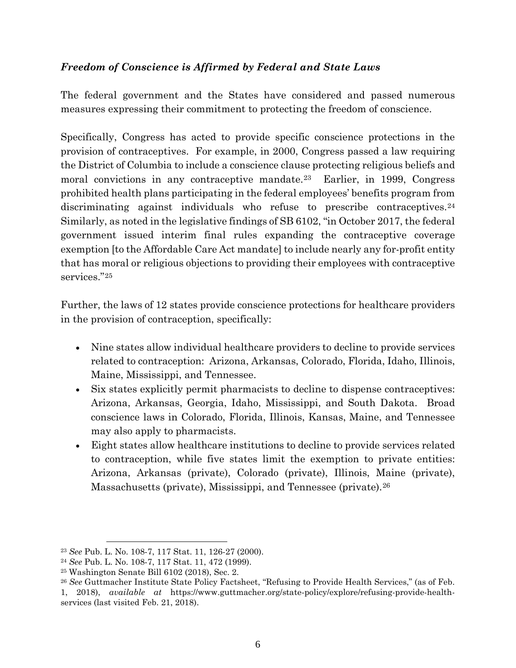### *Freedom of Conscience is Affirmed by Federal and State Laws*

The federal government and the States have considered and passed numerous measures expressing their commitment to protecting the freedom of conscience.

Specifically, Congress has acted to provide specific conscience protections in the provision of contraceptives. For example, in 2000, Congress passed a law requiring the District of Columbia to include a conscience clause protecting religious beliefs and moral convictions in any contraceptive mandate.[23](#page-5-0) Earlier, in 1999, Congress prohibited health plans participating in the federal employees' benefits program from discriminating against individuals who refuse to prescribe contraceptives.<sup>[24](#page-5-1)</sup> Similarly, as noted in the legislative findings of SB 6102, "in October 2017, the federal government issued interim final rules expanding the contraceptive coverage exemption [to the Affordable Care Act mandate] to include nearly any for-profit entity that has moral or religious objections to providing their employees with contraceptive services."[25](#page-5-2)

Further, the laws of 12 states provide conscience protections for healthcare providers in the provision of contraception, specifically:

- Nine states allow individual healthcare providers to decline to provide services related to contraception: Arizona, Arkansas, Colorado, Florida, Idaho, Illinois, Maine, Mississippi, and Tennessee.
- Six states explicitly permit pharmacists to decline to dispense contraceptives: Arizona, Arkansas, Georgia, Idaho, Mississippi, and South Dakota. Broad conscience laws in Colorado, Florida, Illinois, Kansas, Maine, and Tennessee may also apply to pharmacists.
- Eight states allow healthcare institutions to decline to provide services related to contraception, while five states limit the exemption to private entities: Arizona, Arkansas (private), Colorado (private), Illinois, Maine (private), Massachusetts (private), Mississippi, and Tennessee (private).[26](#page-5-3)

<span id="page-5-0"></span><sup>23</sup> *See* Pub. L. No. 108-7, 117 Stat. 11, 126-27 (2000).

<span id="page-5-1"></span><sup>24</sup> *See* Pub. L. No. 108-7, 117 Stat. 11, 472 (1999).

<span id="page-5-2"></span><sup>25</sup> Washington Senate Bill 6102 (2018), Sec. 2.

<span id="page-5-3"></span><sup>26</sup> *See* Guttmacher Institute State Policy Factsheet, "Refusing to Provide Health Services," (as of Feb. 1, 2018), *available at* [https://www.guttmacher.org/state-policy/explore/refusing-provide-health](https://www.guttmacher.org/state-policy/explore/refusing-provide-health-services)[services](https://www.guttmacher.org/state-policy/explore/refusing-provide-health-services) (last visited Feb. 21, 2018).